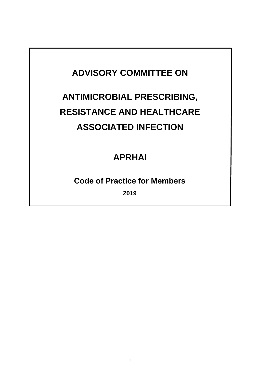## **ADVISORY COMMITTEE ON**

# **ANTIMICROBIAL PRESCRIBING, RESISTANCE AND HEALTHCARE ASSOCIATED INFECTION**

## **APRHAI**

### **Code of Practice for Members**

**2019**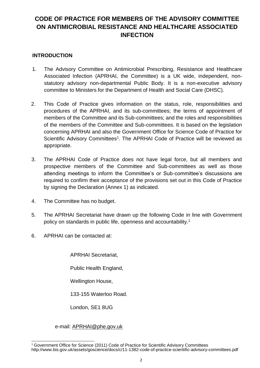### **CODE OF PRACTICE FOR MEMBERS OF THE ADVISORY COMMITTEE ON ANTIMICROBIAL RESISTANCE AND HEALTHCARE ASSOCIATED INFECTION**

#### **INTRODUCTION**

- 1. The Advisory Committee on Antimicrobial Prescribing, Resistance and Healthcare Associated Infection (APRHAI, the Committee) is a UK wide, independent, nonstatutory advisory non-departmental Public Body. It is a non-executive advisory committee to Ministers for the Department of Health and Social Care (DHSC).
- 2. This Code of Practice gives information on the status, role, responsibilities and procedures of the APRHAI, and its sub-committees; the terms of appointment of members of the Committee and its Sub-committees; and the roles and responsibilities of the members of the Committee and Sub-committees. It is based on the legislation concerning APRHAI and also the Government Office for Science Code of Practice for Scientific Advisory Committees<sup>[1](#page-16-0)</sup>. The APRHAI Code of Practice will be reviewed as appropriate.
- 3. The APRHAI Code of Practice does not have legal force, but all members and prospective members of the Committee and Sub-committees as well as those attending meetings to inform the Committee's or Sub-committee's discussions are required to confirm their acceptance of the provisions set out in this Code of Practice by signing the Declaration (Annex 1) as indicated.
- 4. The Committee has no budget.
- 5. The APRHAI Secretariat have drawn up the following Code in line with Government policy on standards in public life, openness and accountability.<sup>1</sup>
- 6. APRHAI can be contacted at:

APRHAI Secretariat,

Public Health England,

Wellington House,

133-155 Waterloo Road.

London, SE1 8UG

#### e-mail: APRHAI@phe.gov.uk

 $\overline{a}$ <sup>1</sup> Government Office for Science (2011) Code of Practice for Scientific Advisory Committees http://www.bis.gov.uk/assets/goscience/docs/c/11-1382-code-of-practice-scientific-advisory-committees.pdf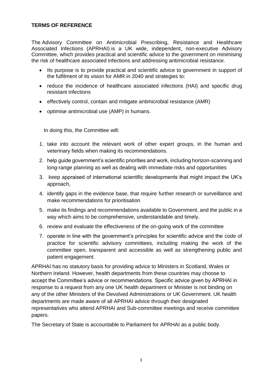#### **TERMS OF REFERENCE**

The Advisory Committee on Antimicrobial Prescribing, Resistance and Healthcare Associated Infections (APRHAI) is a UK wide, independent, non-executive Advisory Committee, which provides practical and scientific advice to the government on minimising the risk of healthcare associated infections and addressing antimicrobial resistance.

- Its purpose is to provide practical and scientific advice to government in support of the fulfilment of its vision for AMR in 2040 and strategies to:
- reduce the incidence of healthcare associated infections (HAI) and specific drug resistant infections
- effectively control, contain and mitigate antimicrobial resistance (AMR)
- optimise antimicrobial use (AMP) in humans.

In doing this, the Committee will:

- 1. take into account the relevant work of other expert groups, in the human and veterinary fields when making its recommendations.
- 2. help guide government's scientific priorities and work, including horizon-scanning and long-range planning as well as dealing with immediate risks and opportunities
- 3. keep appraised of international scientific developments that might impact the UK's approach,
- 4. identify gaps in the evidence base, that require further research or surveillance and make recommendations for prioritisation
- 5. make its findings and recommendations available to Government, and the public in a way which aims to be comprehensive, understandable and timely.
- 6. review and evaluate the effectiveness of the on-going work of the committee
- 7. operate in line with the government's principles for scientific advice and the code of practice for scientific advisory committees, including making the work of the committee open, transparent and accessible as well as strengthening public and patient engagement.

APRHAI has no statutory basis for providing advice to Ministers in Scotland, Wales or Northern Ireland. However, health departments from these countries may choose to accept the Committee's advice or recommendations. Specific advice given by APRHAI in response to a request from any one UK health department or Minister is not binding on any of the other Ministers of the Devolved Administrations or UK Government. UK health departments are made aware of all APRHAI advice through their designated representatives who attend APRHAI and Sub-committee meetings and receive committee papers.

The Secretary of State is accountable to Parliament for APRHAI as a public body.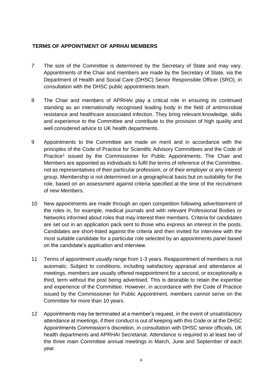#### **TERMS OF APPOINTMENT OF APRHAI MEMBERS**

- 7 The size of the Committee is determined by the Secretary of State and may vary. Appointments of the Chair and members are made by the Secretary of State, via the Department of Health and Social Care (DHSC) Senior Responsible Officer (SRO), in consultation with the DHSC public appointments team.
- 8 The Chair and members of APRHAI play a critical role in ensuring its continued standing as an internationally recognised leading body in the field of antimicrobial resistance and healthcare associated infection. They bring relevant knowledge, skills and experience to the Committee and contribute to the provision of high quality and well considered advice to UK health departments.
- 9 Appointments to the Committee are made on merit and in accordance with the principles of the Code of Practice for Scientific Advisory Committees and the Code of Practice<sup>1</sup> issued by the Commissioner for Public Appointments. The Chair and Members are appointed as individuals to fulfil the terms of reference of the Committee, not as representatives of their particular profession, or of their employer or any interest group. Membership is not determined on a geographical basis but on suitability for the role, based on an assessment against criteria specified at the time of the recruitment of new Members.
- 10 New appointments are made through an open competition following advertisement of the roles in, for example, medical journals and with relevant Professional Bodies or Networks informed about roles that may interest their members. Criteria for candidates are set out in an application pack sent to those who express an interest in the posts. Candidates are short-listed against the criteria and then invited for interview with the most suitable candidate for a particular role selected by an appointments panel based on the candidate's application and interview.
- 11 Terms of appointment usually range from 1-3 years. Reappointment of members is not automatic. Subject to conditions, including satisfactory appraisal and attendance at meetings, members are usually offered reappointment for a second, or exceptionally a third, term without the post being advertised. This is desirable to retain the expertise and experience of the Committee. However, in accordance with the Code of Practice issued by the Commissioner for Public Appointment, members cannot serve on the Committee for more than 10 years.
- 12 Appointments may be terminated at a member's request, in the event of unsatisfactory attendance at meetings, if their conduct is out of keeping with this Code or at the DHSC Appointments Commission's discretion, in consultation with DHSC senior officials, UK health departments and APRHAI Secretariat. Attendance is required to at least two of the three main Committee annual meetings in March, June and September of each year.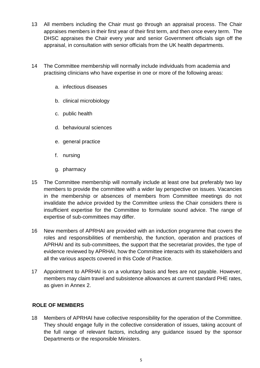- 13 All members including the Chair must go through an appraisal process. The Chair appraises members in their first year of their first term, and then once every term. The DHSC appraises the Chair every year and senior Government officials sign off the appraisal, in consultation with senior officials from the UK health departments.
- 14 The Committee membership will normally include individuals from academia and practising clinicians who have expertise in one or more of the following areas:
	- a. infectious diseases
	- b. clinical microbiology
	- c. public health
	- d. behavioural sciences
	- e. general practice
	- f. nursing
	- g. pharmacy
- 15 The Committee membership will normally include at least one but preferably two lay members to provide the committee with a wider lay perspective on issues. Vacancies in the membership or absences of members from Committee meetings do not invalidate the advice provided by the Committee unless the Chair considers there is insufficient expertise for the Committee to formulate sound advice. The range of expertise of sub-committees may differ.
- 16 New members of APRHAI are provided with an induction programme that covers the roles and responsibilities of membership, the function, operation and practices of APRHAI and its sub-committees, the support that the secretariat provides, the type of evidence reviewed by APRHAI, how the Committee interacts with its stakeholders and all the various aspects covered in this Code of Practice.
- 17 Appointment to APRHAI is on a voluntary basis and fees are not payable. However, members may claim travel and subsistence allowances at current standard PHE rates, as given in Annex 2.

#### **ROLE OF MEMBERS**

18 Members of APRHAI have collective responsibility for the operation of the Committee. They should engage fully in the collective consideration of issues, taking account of the full range of relevant factors, including any guidance issued by the sponsor Departments or the responsible Ministers.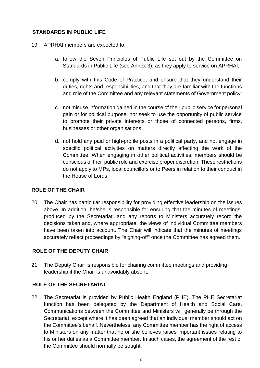#### **STANDARDS IN PUBLIC LIFE**

- 19 APRHAI members are expected to:
	- a. follow the Seven Principles of Public Life set out by the Committee on Standards in Public Life (see Annex 3), as they apply to service on APRHAI;
	- b. comply with this Code of Practice, and ensure that they understand their duties, rights and responsibilities, and that they are familiar with the functions and role of the Committee and any relevant statements of Government policy;
	- c. not misuse information gained in the course of their public service for personal gain or for political purpose, nor seek to use the opportunity of public service to promote their private interests or those of connected persons, firms, businesses or other organisations;
	- d. not hold any paid or high-profile posts in a political party, and not engage in specific political activities on matters directly affecting the work of the Committee. When engaging in other political activities, members should be conscious of their public role and exercise proper discretion. These restrictions do not apply to MPs, local councillors or to Peers in relation to their conduct in the House of Lords

#### **ROLE OF THE CHAIR**

20 The Chair has particular responsibility for providing effective leadership on the issues above. In addition, he/she is responsible for ensuring that the minutes of meetings, produced by the Secretariat, and any reports to Ministers accurately record the decisions taken and, where appropriate, the views of individual Committee members have been taken into account. The Chair will indicate that the minutes of meetings accurately reflect proceedings by "signing-off" once the Committee has agreed them.

#### **ROLE OF THE DEPUTY CHAIR**

21 The Deputy Chair is responsible for chairing committee meetings and providing leadership if the Chair is unavoidably absent.

#### **ROLE OF THE SECRETARIAT**

22 The Secretariat is provided by Public Health England (PHE). The PHE Secretariat function has been delegated by the Department of Health and Social Care. Communications between the Committee and Ministers will generally be through the Secretariat, except where it has been agreed that an individual member should act on the Committee's behalf. Nevertheless, any Committee member has the right of access to Ministers on any matter that he or she believes raises important issues relating to his or her duties as a Committee member. In such cases, the agreement of the rest of the Committee should normally be sought.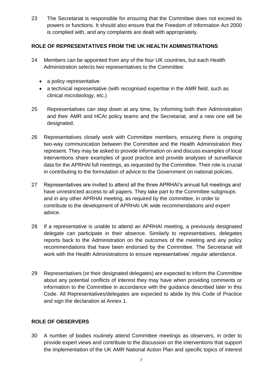23 The Secretariat is responsible for ensuring that the Committee does not exceed its powers or functions. It should also ensure that the Freedom of Information Act 2000 is complied with, and any complaints are dealt with appropriately.

#### **ROLE OF REPRESENTATIVES FROM THE UK HEALTH ADMINISTRATIONS**

- 24 Members can be appointed from any of the four UK countries, but each Health Administration selects two representatives to the Committee:
	- a policy representative
	- a technical representative (with recognised expertise in the AMR field, such as clinical microbiology, etc.)
- 25 Representatives can step down at any time, by informing both their Administration and their AMR and HCAI policy teams and the Secretariat, and a new one will be designated.
- 26 Representatives closely work with Committee members, ensuring there is ongoing two-way communication between the Committee and the Health Administration they represent. They may be asked to provide information on and discuss examples of local interventions share examples of good practice and provide analyses of surveillance data for the APRHAI full meetings, as requested by the Committee. Their role is crucial in contributing to the formulation of advice to the Government on national policies.
- 27 Representatives are invited to attend all the three APRHAI's annual full meetings and have unrestricted access to all papers. They take part to the Committee subgroups and in any other APRHAI meeting, as required by the committee, in order to contribute to the development of APRHAI UK wide recommendations and expert advice.
- 28 If a representative is unable to attend an APRHAI meeting, a previously designated delegate can participate in their absence. Similarly to representatives, delegates reports back to the Administration on the outcomes of the meeting and any policy recommendations that have been endorsed by the Committee. The Secretariat will work with the Health Administrations to ensure representatives' regular attendance.
- 29 Representatives (or their designated delegates) are expected to inform the Committee about any potential conflicts of interest they may have when providing comments or information to the Committee in accordance with the guidance described later in this Code. All Representatives/delegates are expected to abide by this Code of Practice and sign the declaration at Annex 1.

#### **ROLE OF OBSERVERS**

30 A number of bodies routinely attend Committee meetings as observers, in order to provide expert views and contribute to the discussion on the interventions that support the implementation of the UK AMR National Action Plan and specific topics of interest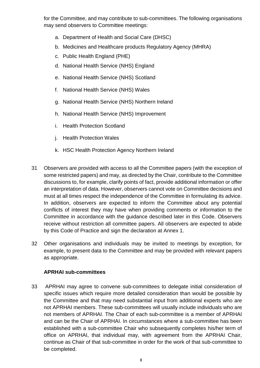for the Committee, and may contribute to sub-committees. The following organisations may send observers to Committee meetings:

- a. Department of Health and Social Care (DHSC)
- b. Medicines and Healthcare products Regulatory Agency (MHRA)
- c. Public Health England (PHE)
- d. National Health Service (NHS) England
- e. National Health Service (NHS) Scotland
- f. National Health Service (NHS) Wales
- g. National Health Service (NHS) Northern Ireland
- h. National Health Service (NHS) Improvement
- i. Health Protection Scotland
- j. Health Protection Wales
- k. HSC Health Protection Agency Northern Ireland
- 31 Observers are provided with access to all the Committee papers (with the exception of some restricted papers) and may, as directed by the Chair, contribute to the Committee discussions to, for example, clarify points of fact, provide additional information or offer an interpretation of data. However, observers cannot vote on Committee decisions and must at all times respect the independence of the Committee in formulating its advice. In addition, observers are expected to inform the Committee about any potential conflicts of interest they may have when providing comments or information to the Committee in accordance with the guidance described later in this Code. Observers receive without restriction all committee papers. All observers are expected to abide by this Code of Practice and sign the declaration at Annex 1.
- 32 Other organisations and individuals may be invited to meetings by exception, for example, to present data to the Committee and may be provided with relevant papers as appropriate.

#### **APRHAI sub-committees**

33 APRHAI may agree to convene sub-committees to delegate initial consideration of specific issues which require more detailed consideration than would be possible by the Committee and that may need substantial input from additional experts who are not APRHAI members. These sub-committees will usually include individuals who are not members of APRHAI. The Chair of each sub-committee is a member of APRHAI and can be the Chair of APRHAI. In circumstances where a sub-committee has been established with a sub-committee Chair who subsequently completes his/her term of office on APRHAI, that individual may, with agreement from the APRHAI Chair, continue as Chair of that sub-committee in order for the work of that sub-committee to be completed.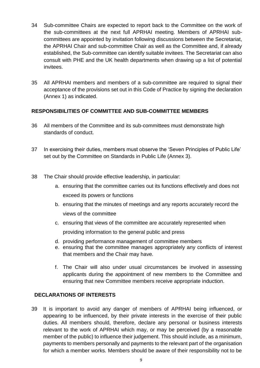- 34 Sub-committee Chairs are expected to report back to the Committee on the work of the sub-committees at the next full APRHAI meeting. Members of APRHAI subcommittees are appointed by invitation following discussions between the Secretariat, the APRHAI Chair and sub-committee Chair as well as the Committee and, if already established, the Sub-committee can identify suitable invitees. The Secretariat can also consult with PHE and the UK health departments when drawing up a list of potential invitees.
- 35 All APRHAI members and members of a sub-committee are required to signal their acceptance of the provisions set out in this Code of Practice by signing the declaration (Annex 1) as indicated.

#### **RESPONSIBILITIES OF COMMITTEE AND SUB-COMMITTEE MEMBERS**

- 36 All members of the Committee and its sub-committees must demonstrate high standards of conduct.
- 37 In exercising their duties, members must observe the 'Seven Principles of Public Life' set out by the Committee on Standards in Public Life (Annex 3).
- 38 The Chair should provide effective leadership, in particular:
	- a. ensuring that the committee carries out its functions effectively and does not exceed its powers or functions
	- b. ensuring that the minutes of meetings and any reports accurately record the views of the committee
	- c. ensuring that views of the committee are accurately represented when providing information to the general public and press
	- d. providing performance management of committee members
	- e. ensuring that the committee manages appropriately any conflicts of interest that members and the Chair may have.
	- f. The Chair will also under usual circumstances be involved in assessing applicants during the appointment of new members to the Committee and ensuring that new Committee members receive appropriate induction.

#### **DECLARATIONS OF INTERESTS**

39 It is important to avoid any danger of members of APRHAI being influenced, or appearing to be influenced, by their private interests in the exercise of their public duties. All members should, therefore, declare any personal or business interests relevant to the work of APRHAI which may, or may be perceived (by a reasonable member of the public) to influence their judgement. This should include, as a minimum, payments to members personally and payments to the relevant part of the organisation for which a member works. Members should be aware of their responsibility not to be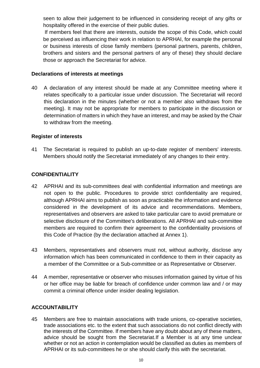seen to allow their judgement to be influenced in considering receipt of any gifts or hospitality offered in the exercise of their public duties.

If members feel that there are interests, outside the scope of this Code, which could be perceived as influencing their work in relation to APRHAI, for example the personal or business interests of close family members (personal partners, parents, children, brothers and sisters and the personal partners of any of these) they should declare those or approach the Secretariat for advice.

#### **Declarations of interests at meetings**

40 A declaration of any interest should be made at any Committee meeting where it relates specifically to a particular issue under discussion. The Secretariat will record this declaration in the minutes (whether or not a member also withdraws from the meeting). It may not be appropriate for members to participate in the discussion or determination of matters in which they have an interest, and may be asked by the Chair to withdraw from the meeting.

#### **Register of interests**

41 The Secretariat is required to publish an up-to-date register of members' interests. Members should notify the Secretariat immediately of any changes to their entry.

#### **CONFIDENTIALITY**

- 42 APRHAI and its sub-committees deal with confidential information and meetings are not open to the public. Procedures to provide strict confidentiality are required, although APRHAI aims to publish as soon as practicable the information and evidence considered in the development of its advice and recommendations. Members, representatives and observers are asked to take particular care to avoid premature or selective disclosure of the Committee's deliberations. All APRHAI and sub-committee members are required to confirm their agreement to the confidentiality provisions of this Code of Practice (by the declaration attached at Annex 1).
- 43 Members, representatives and observers must not, without authority, disclose any information which has been communicated in confidence to them in their capacity as a member of the Committee or a Sub-committee or as Representative or Observer.
- 44 A member, representative or observer who misuses information gained by virtue of his or her office may be liable for breach of confidence under common law and / or may commit a criminal offence under insider dealing legislation.

#### **ACCOUNTABILITY**

45 Members are free to maintain associations with trade unions, co-operative societies, trade associations etc. to the extent that such associations do not conflict directly with the interests of the Committee. If members have any doubt about any of these matters, advice should be sought from the Secretariat.If a Member is at any time unclear whether or not an action in contemplation would be classified as duties as members of APRHAI or its sub-committees he or she should clarify this with the secretariat.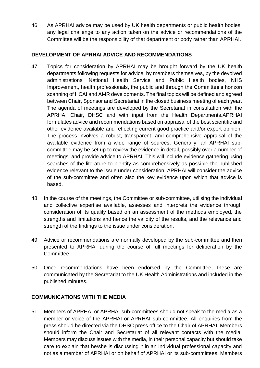46 As APRHAI advice may be used by UK health departments or public health bodies, any legal challenge to any action taken on the advice or recommendations of the Committee will be the responsibility of that department or body rather than APRHAI.

#### **DEVELOPMENT OF APRHAI ADVICE AND RECOMMENDATIONS**

- 47 Topics for consideration by APRHAI may be brought forward by the UK health departments following requests for advice, by members themselves, by the devolved administrations' National Health Service and Public Health bodies, NHS Improvement, health professionals, the public and through the Committee's horizon scanning of HCAI and AMR developments. The final topics will be defined and agreed between Chair, Sponsor and Secretariat in the closed business meeting of each year. The agenda of meetings are developed by the Secretariat in consultation with the APRHAI Chair, DHSC and with input from the Health Departments.APRHAI formulates advice and recommendations based on appraisal of the best scientific and other evidence available and reflecting current good practice and/or expert opinion. The process involves a robust, transparent, and comprehensive appraisal of the available evidence from a wide range of sources. Generally, an APRHAI subcommittee may be set up to review the evidence in detail, possibly over a number of meetings, and provide advice to APRHAI. This will include evidence gathering using searches of the literature to identify as comprehensively as possible the published evidence relevant to the issue under consideration. APRHAI will consider the advice of the sub-committee and often also the key evidence upon which that advice is based.
- 48 In the course of the meetings, the Committee or sub-committee, utilising the individual and collective expertise available, assesses and interprets the evidence through consideration of its quality based on an assessment of the methods employed, the strengths and limitations and hence the validity of the results, and the relevance and strength of the findings to the issue under consideration.
- 49 Advice or recommendations are normally developed by the sub-committee and then presented to APRHAI during the course of full meetings for deliberation by the Committee.
- 50 Once recommendations have been endorsed by the Committee, these are communicated by the Secretariat to the UK Health Administrations and included in the published minutes.

#### **COMMUNICATIONS WITH THE MEDIA**

51 Members of APRHAI or APRHAI sub-committees should not speak to the media as a member or voice of the APRHAI or APRHAI sub-committee. All enquiries from the press should be directed via the DHSC press office to the Chair of APRHAI. Members should inform the Chair and Secretariat of all relevant contacts with the media. Members may discuss issues with the media, in their personal capacity but should take care to explain that he/she is discussing it in an individual professional capacity and not as a member of APRHAI or on behalf of APRHAI or its sub-committees. Members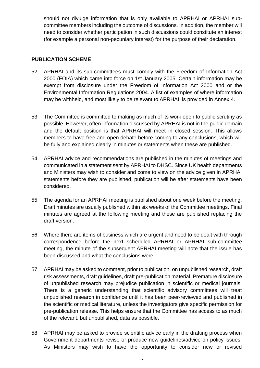should not divulge information that is only available to APRHAI or APRHAI subcommittee members including the outcome of discussions. In addition, the member will need to consider whether participation in such discussions could constitute an interest (for example a personal non-pecuniary interest) for the purpose of their declaration.

#### **PUBLICATION SCHEME**

- 52 APRHAI and its sub-committees must comply with the Freedom of Information Act 2000 (FOIA) which came into force on 1st January 2005. Certain information may be exempt from disclosure under the Freedom of Information Act 2000 and or the Environmental Information Regulations 2004. A list of examples of where information may be withheld, and most likely to be relevant to APRHAI, is provided in Annex 4.
- 53 The Committee is committed to making as much of its work open to public scrutiny as possible. However, often information discussed by APRHAI is not in the public domain and the default position is that APRHAI will meet in closed session. This allows members to have free and open debate before coming to any conclusions, which will be fully and explained clearly in minutes or statements when these are published.
- 54 APRHAI advice and recommendations are published in the minutes of meetings and communicated in a statement sent by APRHAI to DHSC. Since UK health departments and Ministers may wish to consider and come to view on the advice given in APRHAI statements before they are published, publication will be after statements have been considered.
- 55 The agenda for an APRHAI meeting is published about one week before the meeting. Draft minutes are usually published within six weeks of the Committee meetings. Final minutes are agreed at the following meeting and these are published replacing the draft version.
- 56 Where there are items of business which are urgent and need to be dealt with through correspondence before the next scheduled APRHAI or APRHAI sub-committee meeting, the minute of the subsequent APRHAI meeting will note that the issue has been discussed and what the conclusions were.
- 57 APRHAI may be asked to comment, prior to publication, on unpublished research, draft risk assessments, draft guidelines, draft pre-publication material. Premature disclosure of unpublished research may prejudice publication in scientific or medical journals. There is a generic understanding that scientific advisory committees will treat unpublished research in confidence until it has been peer-reviewed and published in the scientific or medical literature, unless the investigators give specific permission for pre-publication release. This helps ensure that the Committee has access to as much of the relevant, but unpublished, data as possible.
- 58 APRHAI may be asked to provide scientific advice early in the drafting process when Government departments revise or produce new guidelines/advice on policy issues. As Ministers may wish to have the opportunity to consider new or revised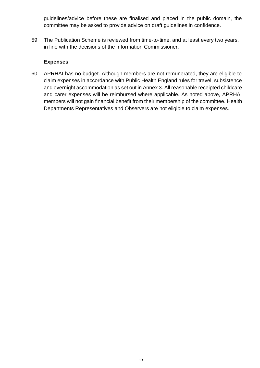guidelines/advice before these are finalised and placed in the public domain, the committee may be asked to provide advice on draft guidelines in confidence.

59 The Publication Scheme is reviewed from time-to-time, and at least every two years, in line with the decisions of the Information Commissioner.

#### **Expenses**

60 APRHAI has no budget. Although members are not remunerated, they are eligible to claim expenses in accordance with Public Health England rules for travel, subsistence and overnight accommodation as set out in Annex 3. All reasonable receipted childcare and carer expenses will be reimbursed where applicable. As noted above, APRHAI members will not gain financial benefit from their membership of the committee. Health Departments Representatives and Observers are not eligible to claim expenses.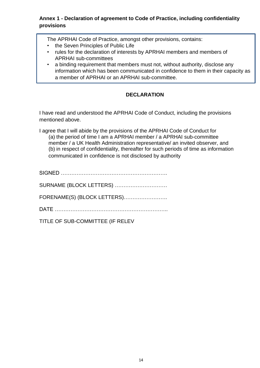#### **Annex 1 - Declaration of agreement to Code of Practice, including confidentiality provisions**

The APRHAI Code of Practice, amongst other provisions, contains:

- the Seven Principles of Public Life
- rules for the declaration of interests by APRHAI members and members of APRHAI sub-committees
- a binding requirement that members must not, without authority, disclose any information which has been communicated in confidence to them in their capacity as a member of APRHAI or an APRHAI sub-committee.

#### **DECLARATION**

I have read and understood the APRHAI Code of Conduct, including the provisions mentioned above.

I agree that I will abide by the provisions of the APRHAI Code of Conduct for (a) the period of time I am a APRHAI member / a APRHAI sub-committee member / a UK Health Administration representative/ an invited observer, and (b) in respect of confidentiality, thereafter for such periods of time as information communicated in confidence is not disclosed by authority

| SURNAME (BLOCK LETTERS)          |
|----------------------------------|
| FORENAME(S) (BLOCK LETTERS)      |
|                                  |
| TITLE OF SUB-COMMITTEE (IF RELEV |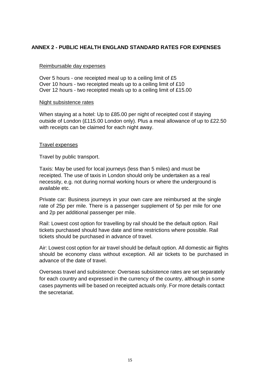#### **ANNEX 2 - PUBLIC HEALTH ENGLAND STANDARD RATES FOR EXPENSES**

#### Reimbursable day expenses

Over 5 hours - one receipted meal up to a ceiling limit of £5 Over 10 hours - two receipted meals up to a ceiling limit of £10 Over 12 hours - two receipted meals up to a ceiling limit of £15.00

#### Night subsistence rates

When staying at a hotel: Up to £85.00 per night of receipted cost if staying outside of London (£115.00 London only). Plus a meal allowance of up to £22.50 with receipts can be claimed for each night away.

#### Travel expenses

Travel by public transport.

Taxis: May be used for local journeys (less than 5 miles) and must be receipted. The use of taxis in London should only be undertaken as a real necessity, e.g. not during normal working hours or where the underground is available etc.

Private car: Business journeys in your own care are reimbursed at the single rate of 25p per mile. There is a passenger supplement of 5p per mile for one and 2p per additional passenger per mile.

Rail: Lowest cost option for travelling by rail should be the default option. Rail tickets purchased should have date and time restrictions where possible. Rail tickets should be purchased in advance of travel.

Air: Lowest cost option for air travel should be default option. All domestic air flights should be economy class without exception. All air tickets to be purchased in advance of the date of travel.

Overseas travel and subsistence: Overseas subsistence rates are set separately for each country and expressed in the currency of the country, although in some cases payments will be based on receipted actuals only. For more details contact the secretariat.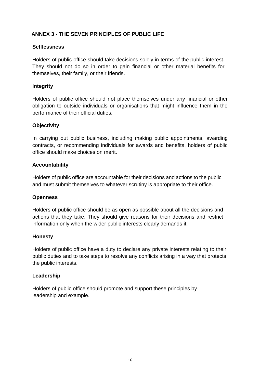#### **ANNEX 3 - THE SEVEN PRINCIPLES OF PUBLIC LIFE**

#### **Selflessness**

Holders of public office should take decisions solely in terms of the public interest. They should not do so in order to gain financial or other material benefits for themselves, their family, or their friends.

#### **Integrity**

Holders of public office should not place themselves under any financial or other obligation to outside individuals or organisations that might influence them in the performance of their official duties.

#### **Objectivity**

In carrying out public business, including making public appointments, awarding contracts, or recommending individuals for awards and benefits, holders of public office should make choices on merit.

#### **Accountability**

Holders of public office are accountable for their decisions and actions to the public and must submit themselves to whatever scrutiny is appropriate to their office.

#### **Openness**

Holders of public office should be as open as possible about all the decisions and actions that they take. They should give reasons for their decisions and restrict information only when the wider public interests clearly demands it.

#### **Honesty**

Holders of public office have a duty to declare any private interests relating to their public duties and to take steps to resolve any conflicts arising in a way that protects the public interests.

#### **Leadership**

Holders of public office should promote and support these principles by leadership and example.